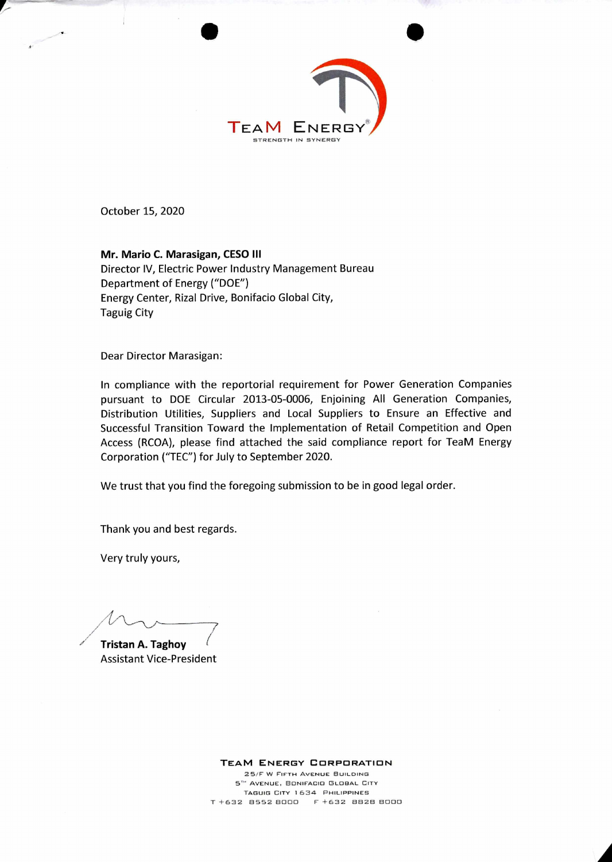

October 15, 2020

**Mr. Mario C. Marasigan, CESO III**  Director IV, Electric Power Industry Management Bureau Department of Energy ("DOE") Energy Center, Rizal Drive, Bonifacio Global City, Taguig City

Dear Director Marasigan:

In compliance with the reportorial requirement for Power Generation Companies pursuant to DOE Circular 2013-05-0006, Enjoining All Generation Companies, Distribution Utilities, Suppliers and Local Suppliers to Ensure an Effective and Successful Transition Toward the Implementation of Retail Competition and Open Access (RCOA), please find attached the said compliance report for TeaM Energy Corporation ("TEC") for July to September 2020.

We trust that you find the foregoing submission to be in good legal order.

Thank you and best regards.

Very truly yours,

**Tristan A. Taghoy** Assistant Vice-President

**TEAM ENERGY CORPORATION** 

25/F W FIFTH **AVENUE** BUILDING 5'' **AVENUE, BONIFACIO GLOBAL CITY TAGUIG** Crrr 1634 **PHILIPPINES**  T +632 8552 8000 F +632 BB2B B000